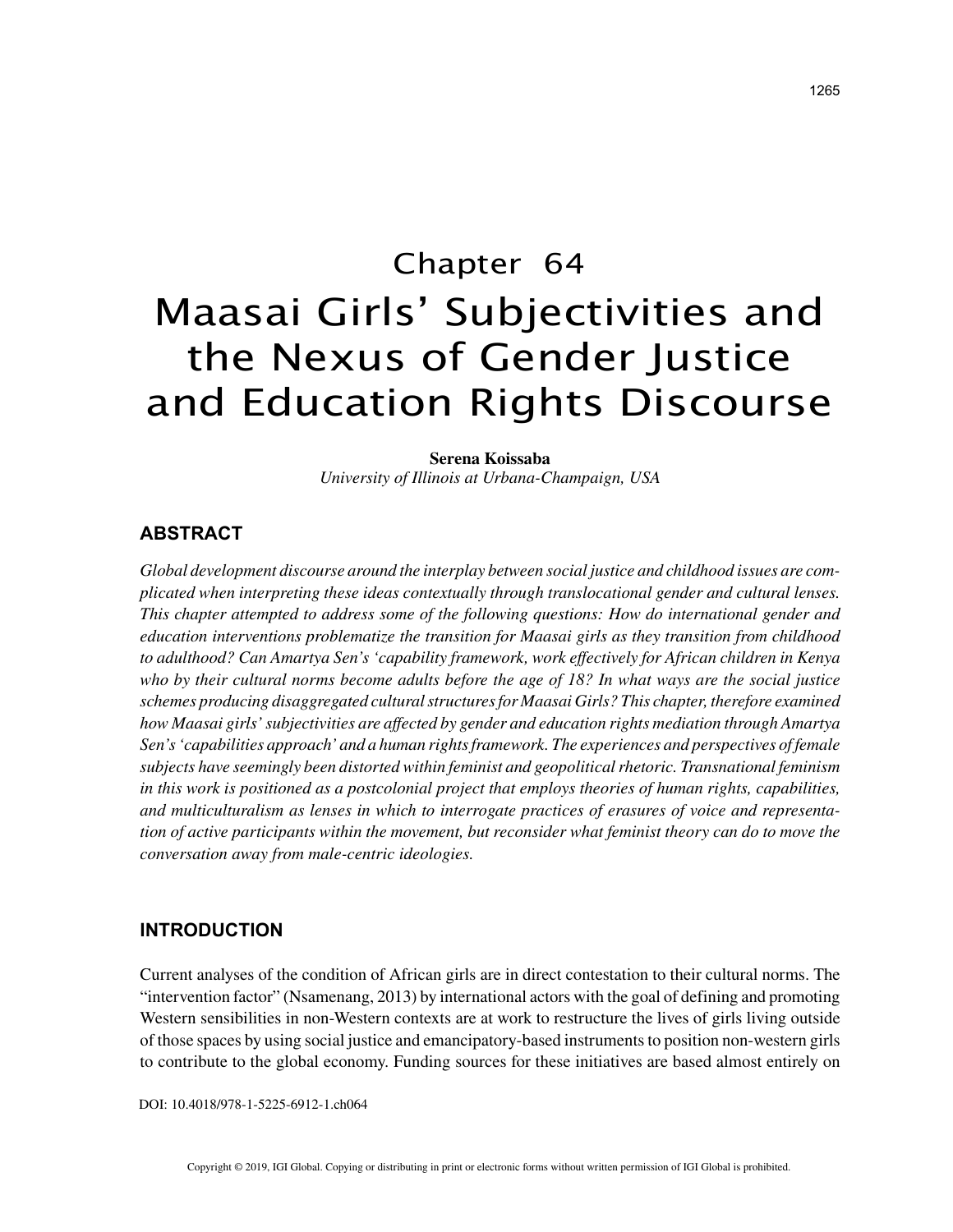# Chapter 64 Maasai Girls' Subjectivities and the Nexus of Gender Justice and Education Rights Discourse

**Serena Koissaba** *University of Illinois at Urbana-Champaign, USA*

## **ABSTRACT**

*Global development discourse around the interplay between social justice and childhood issues are complicated when interpreting these ideas contextually through translocational gender and cultural lenses. This chapter attempted to address some of the following questions: How do international gender and education interventions problematize the transition for Maasai girls as they transition from childhood to adulthood? Can Amartya Sen's 'capability framework, work effectively for African children in Kenya who by their cultural norms become adults before the age of 18? In what ways are the social justice schemes producing disaggregated cultural structures for Maasai Girls? This chapter, therefore examined how Maasai girls' subjectivities are affected by gender and education rights mediation through Amartya Sen's 'capabilities approach' and a human rights framework. The experiences and perspectives of female subjects have seemingly been distorted within feminist and geopolitical rhetoric. Transnational feminism in this work is positioned as a postcolonial project that employs theories of human rights, capabilities, and multiculturalism as lenses in which to interrogate practices of erasures of voice and representation of active participants within the movement, but reconsider what feminist theory can do to move the conversation away from male-centric ideologies.*

## **INTRODUCTION**

Current analyses of the condition of African girls are in direct contestation to their cultural norms. The "intervention factor" (Nsamenang, 2013) by international actors with the goal of defining and promoting Western sensibilities in non-Western contexts are at work to restructure the lives of girls living outside of those spaces by using social justice and emancipatory-based instruments to position non-western girls to contribute to the global economy. Funding sources for these initiatives are based almost entirely on

DOI: 10.4018/978-1-5225-6912-1.ch064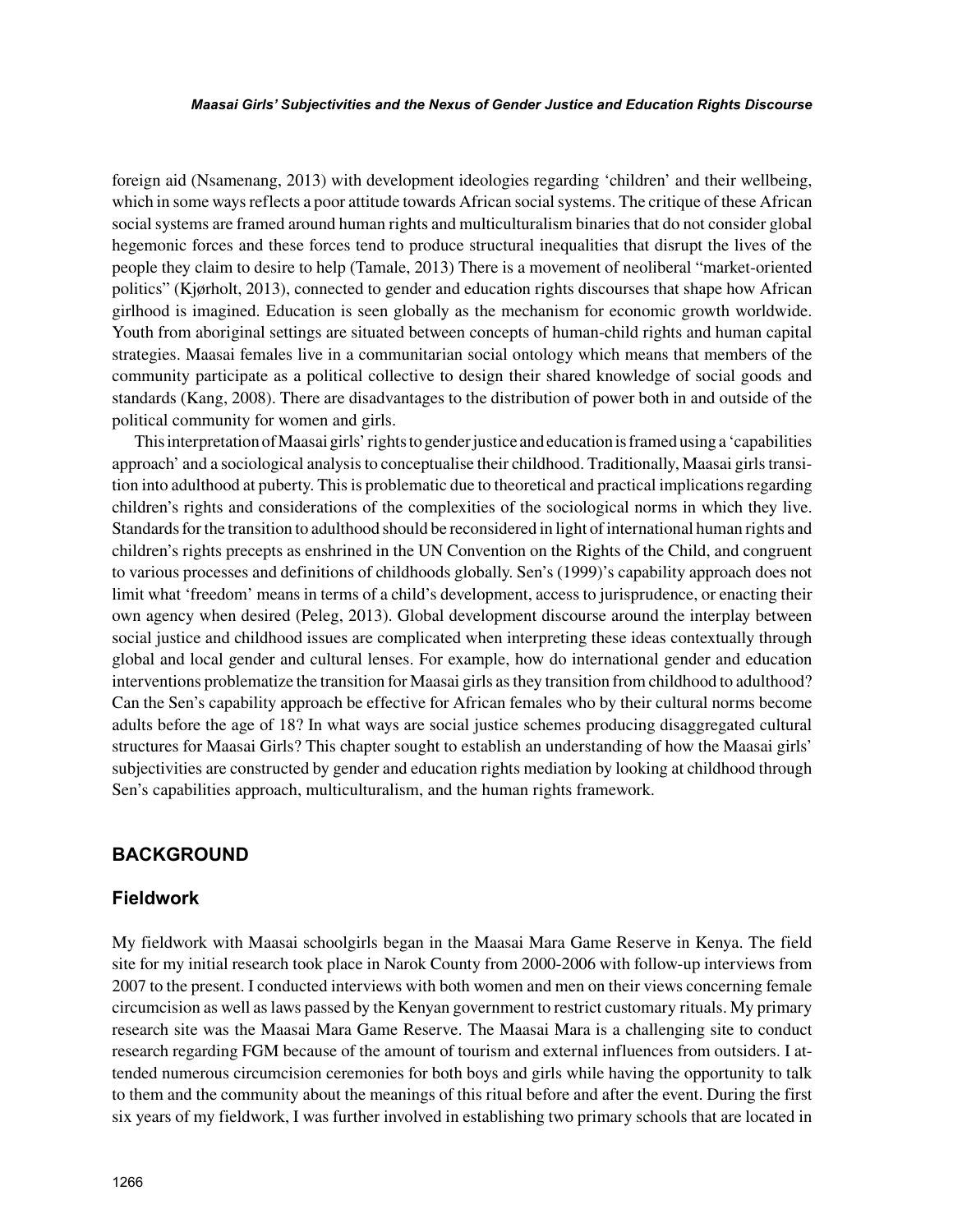foreign aid (Nsamenang, 2013) with development ideologies regarding 'children' and their wellbeing, which in some ways reflects a poor attitude towards African social systems. The critique of these African social systems are framed around human rights and multiculturalism binaries that do not consider global hegemonic forces and these forces tend to produce structural inequalities that disrupt the lives of the people they claim to desire to help (Tamale, 2013) There is a movement of neoliberal "market-oriented politics" (Kjørholt, 2013), connected to gender and education rights discourses that shape how African girlhood is imagined. Education is seen globally as the mechanism for economic growth worldwide. Youth from aboriginal settings are situated between concepts of human-child rights and human capital strategies. Maasai females live in a communitarian social ontology which means that members of the community participate as a political collective to design their shared knowledge of social goods and standards (Kang, 2008). There are disadvantages to the distribution of power both in and outside of the political community for women and girls.

This interpretation of Maasai girls' rights to gender justice and education is framed using a 'capabilities approach' and a sociological analysis to conceptualise their childhood. Traditionally, Maasai girls transition into adulthood at puberty. This is problematic due to theoretical and practical implications regarding children's rights and considerations of the complexities of the sociological norms in which they live. Standards for the transition to adulthood should be reconsidered in light of international human rights and children's rights precepts as enshrined in the UN Convention on the Rights of the Child, and congruent to various processes and definitions of childhoods globally. Sen's (1999)'s capability approach does not limit what 'freedom' means in terms of a child's development, access to jurisprudence, or enacting their own agency when desired (Peleg, 2013). Global development discourse around the interplay between social justice and childhood issues are complicated when interpreting these ideas contextually through global and local gender and cultural lenses. For example, how do international gender and education interventions problematize the transition for Maasai girls as they transition from childhood to adulthood? Can the Sen's capability approach be effective for African females who by their cultural norms become adults before the age of 18? In what ways are social justice schemes producing disaggregated cultural structures for Maasai Girls? This chapter sought to establish an understanding of how the Maasai girls' subjectivities are constructed by gender and education rights mediation by looking at childhood through Sen's capabilities approach, multiculturalism, and the human rights framework.

## **BACKGROUND**

## **Fieldwork**

My fieldwork with Maasai schoolgirls began in the Maasai Mara Game Reserve in Kenya. The field site for my initial research took place in Narok County from 2000-2006 with follow-up interviews from 2007 to the present. I conducted interviews with both women and men on their views concerning female circumcision as well as laws passed by the Kenyan government to restrict customary rituals. My primary research site was the Maasai Mara Game Reserve. The Maasai Mara is a challenging site to conduct research regarding FGM because of the amount of tourism and external influences from outsiders. I attended numerous circumcision ceremonies for both boys and girls while having the opportunity to talk to them and the community about the meanings of this ritual before and after the event. During the first six years of my fieldwork, I was further involved in establishing two primary schools that are located in